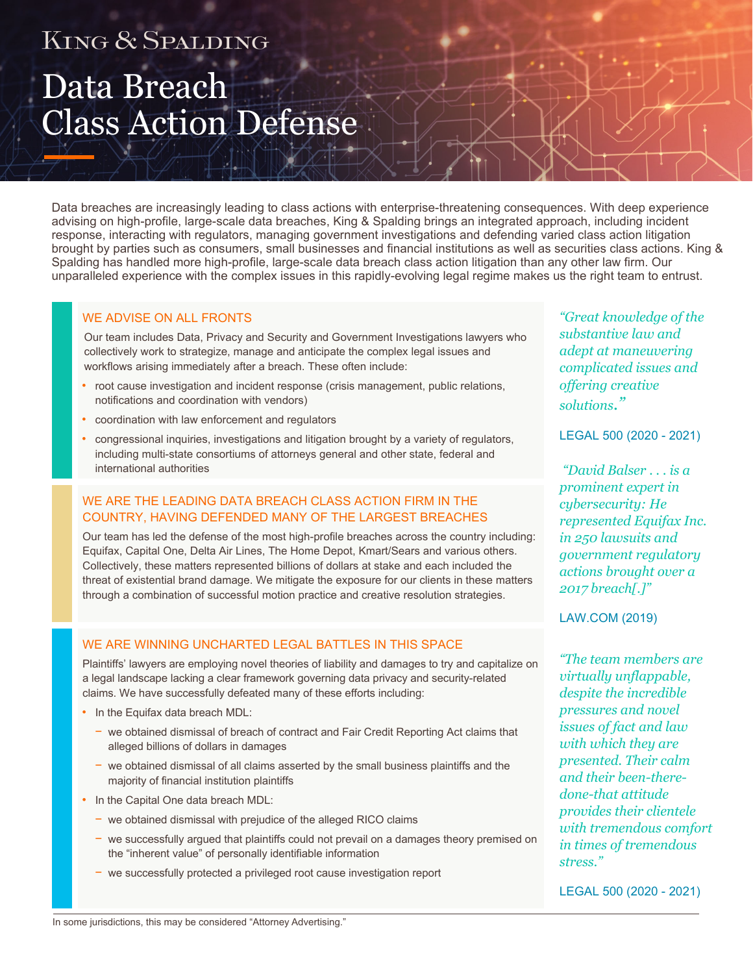## KING & SPALDING

# Data Breach Class Action Defense

Data breaches are increasingly leading to class actions with enterprise-threatening consequences. With deep experience advising on high-profile, large-scale data breaches, King & Spalding brings an integrated approach, including incident response, interacting with regulators, managing government investigations and defending varied class action litigation brought by parties such as consumers, small businesses and financial institutions as well as securities class actions. King & Spalding has handled more high-profile, large-scale data breach class action litigation than any other law firm. Our unparalleled experience with the complex issues in this rapidly-evolving legal regime makes us the right team to entrust.

### WE ADVISE ON ALL FRONTS

Our team includes Data, Privacy and Security and Government Investigations lawyers who collectively work to strategize, manage and anticipate the complex legal issues and workflows arising immediately after a breach. These often include:

- root cause investigation and incident response (crisis management, public relations, notifications and coordination with vendors)
- coordination with law enforcement and regulators
- congressional inquiries, investigations and litigation brought by a variety of regulators, including multi-state consortiums of attorneys general and other state, federal and international authorities

### WE ARE THE LEADING DATA BREACH CLASS ACTION FIRM IN THE COUNTRY, HAVING DEFENDED MANY OF THE LARGEST BREACHES

Our team has led the defense of the most high-profile breaches across the country including: Equifax, Capital One, Delta Air Lines, The Home Depot, Kmart/Sears and various others. Collectively, these matters represented billions of dollars at stake and each included the threat of existential brand damage. We mitigate the exposure for our clients in these matters through a combination of successful motion practice and creative resolution strategies.

### WE ARE WINNING UNCHARTED LEGAL BATTLES IN THIS SPACE

Plaintiffs' lawyers are employing novel theories of liability and damages to try and capitalize on a legal landscape lacking a clear framework governing data privacy and security-related claims. We have successfully defeated many of these efforts including:

- In the Equifax data breach MDL:
	- − we obtained dismissal of breach of contract and Fair Credit Reporting Act claims that alleged billions of dollars in damages
	- − we obtained dismissal of all claims asserted by the small business plaintiffs and the majority of financial institution plaintiffs
- In the Capital One data breach MDL:
	- − we obtained dismissal with prejudice of the alleged RICO claims
	- − we successfully argued that plaintiffs could not prevail on a damages theory premised on the "inherent value" of personally identifiable information
	- − we successfully protected a privileged root cause investigation report

*"Great knowledge of the substantive law and adept at maneuvering complicated issues and offering creative solutions."* 

LEGAL 500 (2020 - 2021)

 *"David Balser . . . is a prominent expert in cybersecurity: He represented Equifax Inc. in 250 lawsuits and government regulatory actions brought over a 2017 breach[.]"*

LAW.COM (2019)

*"The team members are virtually unflappable, despite the incredible pressures and novel issues of fact and law with which they are presented. Their calm and their been-theredone-that attitude provides their clientele with tremendous comfort in times of tremendous stress."*

LEGAL 500 (2020 - 2021)